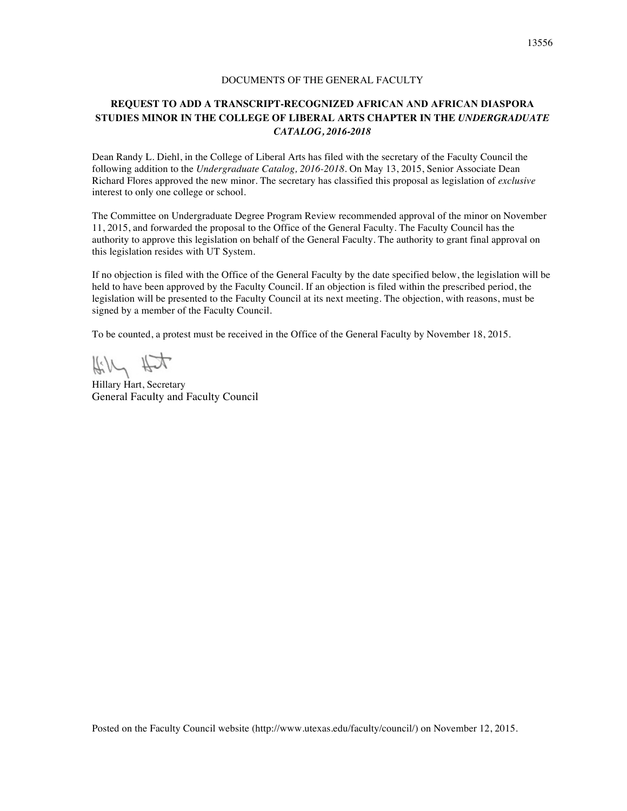#### DOCUMENTS OF THE GENERAL FACULTY

# **REQUEST TO ADD A TRANSCRIPT-RECOGNIZED AFRICAN AND AFRICAN DIASPORA STUDIES MINOR IN THE COLLEGE OF LIBERAL ARTS CHAPTER IN THE** *UNDERGRADUATE CATALOG, 2016-2018*

Dean Randy L. Diehl, in the College of Liberal Arts has filed with the secretary of the Faculty Council the following addition to the *Undergraduate Catalog, 2016-2018*. On May 13, 2015, Senior Associate Dean Richard Flores approved the new minor. The secretary has classified this proposal as legislation of *exclusive* interest to only one college or school.

The Committee on Undergraduate Degree Program Review recommended approval of the minor on November 11, 2015, and forwarded the proposal to the Office of the General Faculty. The Faculty Council has the authority to approve this legislation on behalf of the General Faculty. The authority to grant final approval on this legislation resides with UT System.

If no objection is filed with the Office of the General Faculty by the date specified below, the legislation will be held to have been approved by the Faculty Council. If an objection is filed within the prescribed period, the legislation will be presented to the Faculty Council at its next meeting. The objection, with reasons, must be signed by a member of the Faculty Council.

To be counted, a protest must be received in the Office of the General Faculty by November 18, 2015.

Kill Hit

Hillary Hart, Secretary General Faculty and Faculty Council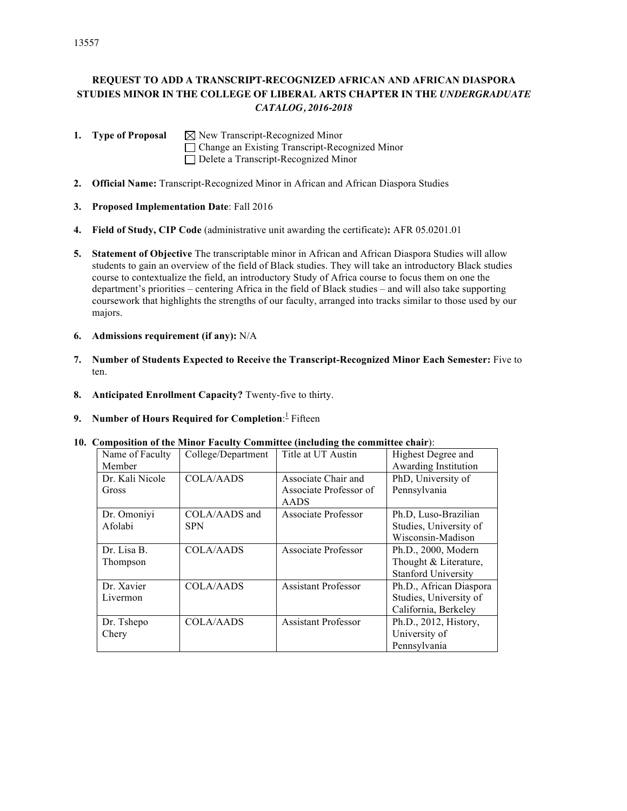# **REQUEST TO ADD A TRANSCRIPT-RECOGNIZED AFRICAN AND AFRICAN DIASPORA STUDIES MINOR IN THE COLLEGE OF LIBERAL ARTS CHAPTER IN THE** *UNDERGRADUATE CATALOG, 2016-2018*

**1. Type of Proposal**  $\boxtimes$  New Transcript-Recognized Minor Change an Existing Transcript-Recognized Minor Delete a Transcript-Recognized Minor

- **2. Official Name:** Transcript-Recognized Minor in African and African Diaspora Studies
- **3. Proposed Implementation Date**: Fall 2016
- **4. Field of Study, CIP Code** (administrative unit awarding the certificate)**:** AFR 05.0201.01
- **5. Statement of Objective** The transcriptable minor in African and African Diaspora Studies will allow students to gain an overview of the field of Black studies. They will take an introductory Black studies course to contextualize the field, an introductory Study of Africa course to focus them on one the department's priorities – centering Africa in the field of Black studies – and will also take supporting coursework that highlights the strengths of our faculty, arranged into tracks similar to those used by our majors.
- **6. Admissions requirement (if any):** N/A
- **7. Number of Students Expected to Receive the Transcript-Recognized Minor Each Semester:** Five to ten.
- **8. Anticipated Enrollment Capacity?** Twenty-five to thirty.
- **9.** Number of Hours Required for Completion: Fifteen

#### **10. Composition of the Minor Faculty Committee (including the committee chair**):

| Name of Faculty | College/Department | Title at UT Austin         | Highest Degree and         |
|-----------------|--------------------|----------------------------|----------------------------|
| Member          |                    |                            | Awarding Institution       |
| Dr. Kali Nicole | <b>COLA/AADS</b>   | Associate Chair and        | PhD, University of         |
| Gross           |                    | Associate Professor of     | Pennsylvania               |
|                 |                    | <b>AADS</b>                |                            |
| Dr. Omoniyi     | COLA/AADS and      | Associate Professor        | Ph.D, Luso-Brazilian       |
| Afolabi         | <b>SPN</b>         |                            | Studies, University of     |
|                 |                    |                            | Wisconsin-Madison          |
| Dr. Lisa B.     | <b>COLA/AADS</b>   | Associate Professor        | Ph.D., 2000, Modern        |
| Thompson        |                    |                            | Thought & Literature,      |
|                 |                    |                            | <b>Stanford University</b> |
| Dr. Xavier      | COLA/AADS          | <b>Assistant Professor</b> | Ph.D., African Diaspora    |
| Livermon        |                    |                            | Studies, University of     |
|                 |                    |                            | California, Berkeley       |
| Dr. Tshepo      | <b>COLA/AADS</b>   | <b>Assistant Professor</b> | Ph.D., 2012, History,      |
| Chery           |                    |                            | University of              |
|                 |                    |                            | Pennsylvania               |